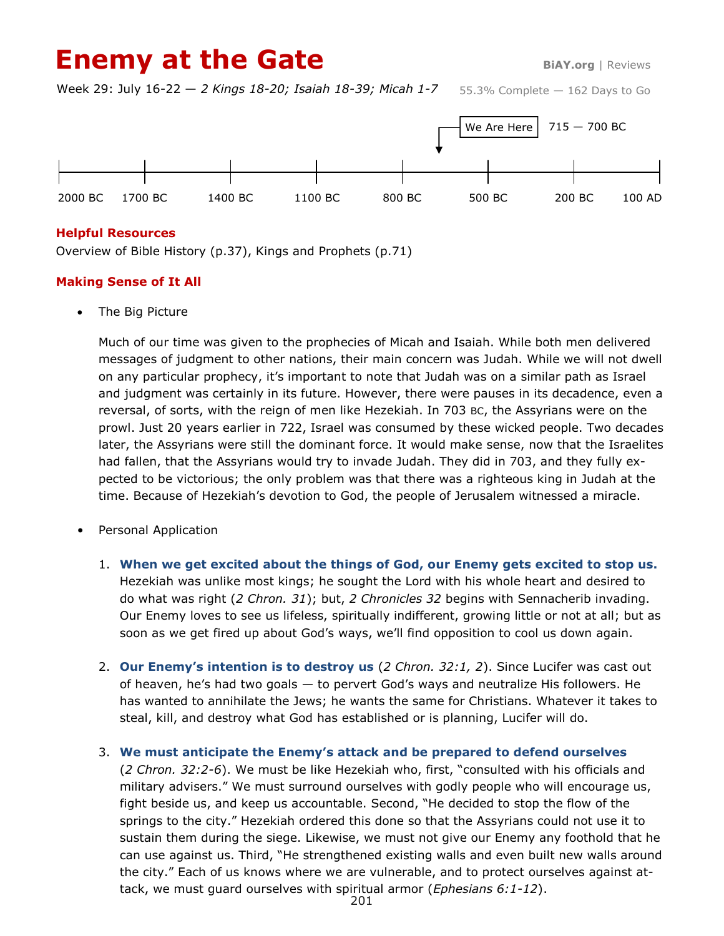# **Enemy at the Gate BiAY.org** | Reviews

55.3% Complete — 162 Days to Go Week 29: July 16-22 — *2 Kings 18-20; Isaiah 18-39; Micah 1-7*



#### **Helpful Resources**

Overview of Bible History (p.37), Kings and Prophets (p.71)

### **Making Sense of It All**

The Big Picture

Much of our time was given to the prophecies of Micah and Isaiah. While both men delivered messages of judgment to other nations, their main concern was Judah. While we will not dwell on any particular prophecy, it's important to note that Judah was on a similar path as Israel and judgment was certainly in its future. However, there were pauses in its decadence, even a reversal, of sorts, with the reign of men like Hezekiah. In 703 BC, the Assyrians were on the prowl. Just 20 years earlier in 722, Israel was consumed by these wicked people. Two decades later, the Assyrians were still the dominant force. It would make sense, now that the Israelites had fallen, that the Assyrians would try to invade Judah. They did in 703, and they fully expected to be victorious; the only problem was that there was a righteous king in Judah at the time. Because of Hezekiah's devotion to God, the people of Jerusalem witnessed a miracle.

- Personal Application
	- 1. **When we get excited about the things of God, our Enemy gets excited to stop us.** Hezekiah was unlike most kings; he sought the Lord with his whole heart and desired to do what was right (*2 Chron. 31*); but, *2 Chronicles 32* begins with Sennacherib invading. Our Enemy loves to see us lifeless, spiritually indifferent, growing little or not at all; but as soon as we get fired up about God's ways, we'll find opposition to cool us down again.
	- 2. **Our Enemy's intention is to destroy us** (*2 Chron. 32:1, 2*). Since Lucifer was cast out of heaven, he's had two goals — to pervert God's ways and neutralize His followers. He has wanted to annihilate the Jews; he wants the same for Christians. Whatever it takes to steal, kill, and destroy what God has established or is planning, Lucifer will do.
	- 3. **We must anticipate the Enemy's attack and be prepared to defend ourselves**  (*2 Chron. 32:2-6*). We must be like Hezekiah who, first, "consulted with his officials and military advisers." We must surround ourselves with godly people who will encourage us, fight beside us, and keep us accountable. Second, "He decided to stop the flow of the springs to the city." Hezekiah ordered this done so that the Assyrians could not use it to sustain them during the siege. Likewise, we must not give our Enemy any foothold that he can use against us. Third, "He strengthened existing walls and even built new walls around the city." Each of us knows where we are vulnerable, and to protect ourselves against attack, we must guard ourselves with spiritual armor (*Ephesians 6:1-12*).